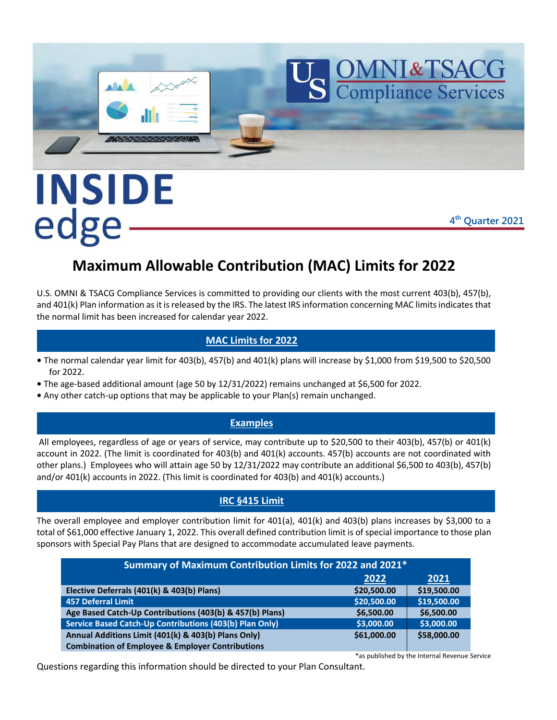

# INSIDE edge

**4 th Quarter 2021**

## **Maximum Allowable Contribution (MAC) Limits for 2022**

U.S. OMNI & TSACG Compliance Services is committed to providing our clients with the most current 403(b), 457(b), and 401(k) Plan information as it is released by the IRS. The latest IRS information concerning MAC limits indicates that the normal limit has been increased for calendar year 2022.

#### **MAC Limits for 2022**

- **•** The normal calendar year limit for 403(b), 457(b) and 401(k) plans will increase by \$1,000 from \$19,500 to \$20,500 for 2022.
- **•** The age-based additional amount (age 50 by 12/31/2022) remains unchanged at \$6,500 for 2022.
- **•** Any other catch-up options that may be applicable to your Plan(s) remain unchanged.

#### **Examples**

All employees, regardless of age or years of service, may contribute up to \$20,500 to their 403(b), 457(b) or 401(k) account in 2022. (The limit is coordinated for 403(b) and 401(k) accounts. 457(b) accounts are not coordinated with other plans.) Employees who will attain age 50 by 12/31/2022 may contribute an additional \$6,500 to 403(b), 457(b) and/or 401(k) accounts in 2022. (This limit is coordinated for 403(b) and 401(k) accounts.)

#### **IRC §415 Limit**

The overall employee and employer contribution limit for 401(a), 401(k) and 403(b) plans increases by \$3,000 to a total of \$61,000 effective January 1, 2022. This overall defined contribution limit is of special importance to those plan sponsors with Special Pay Plans that are designed to accommodate accumulated leave payments.

| Summary of Maximum Contribution Limits for 2022 and 2021*   |             |             |
|-------------------------------------------------------------|-------------|-------------|
|                                                             | 2022        | 2021        |
| Elective Deferrals (401(k) & 403(b) Plans)                  | \$20,500.00 | \$19,500.00 |
| <b>457 Deferral Limit</b>                                   | \$20,500.00 | \$19,500.00 |
| Age Based Catch-Up Contributions (403(b) & 457(b) Plans)    | \$6,500.00  | \$6,500.00  |
| Service Based Catch-Up Contributions (403(b) Plan Only)     | \$3,000.00  | \$3,000.00  |
| Annual Additions Limit (401(k) & 403(b) Plans Only)         | \$61,000.00 | \$58,000.00 |
| <b>Combination of Employee &amp; Employer Contributions</b> |             |             |

\*as published by the Internal Revenue Service Questions regarding this information should be directed to your Plan Consultant.